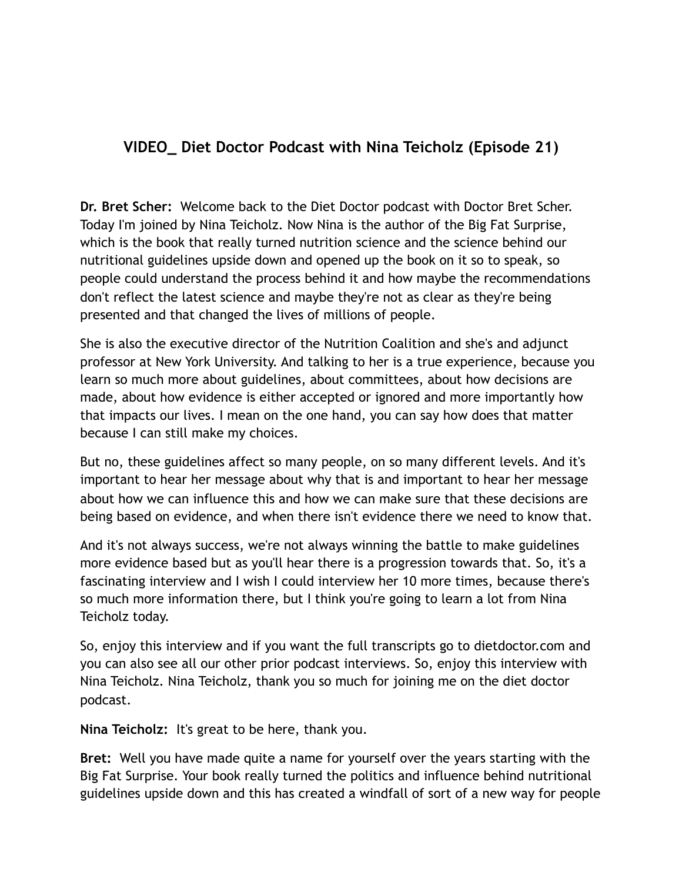# **VIDEO\_ Diet Doctor Podcast with Nina Teicholz (Episode 21)**

**Dr. Bret Scher:** Welcome back to the Diet Doctor podcast with Doctor Bret Scher. Today I'm joined by Nina Teicholz. Now Nina is the author of the Big Fat Surprise, which is the book that really turned nutrition science and the science behind our nutritional guidelines upside down and opened up the book on it so to speak, so people could understand the process behind it and how maybe the recommendations don't reflect the latest science and maybe they're not as clear as they're being presented and that changed the lives of millions of people.

She is also the executive director of the Nutrition Coalition and she's and adjunct professor at New York University. And talking to her is a true experience, because you learn so much more about guidelines, about committees, about how decisions are made, about how evidence is either accepted or ignored and more importantly how that impacts our lives. I mean on the one hand, you can say how does that matter because I can still make my choices.

But no, these guidelines affect so many people, on so many different levels. And it's important to hear her message about why that is and important to hear her message about how we can influence this and how we can make sure that these decisions are being based on evidence, and when there isn't evidence there we need to know that.

And it's not always success, we're not always winning the battle to make guidelines more evidence based but as you'll hear there is a progression towards that. So, it's a fascinating interview and I wish I could interview her 10 more times, because there's so much more information there, but I think you're going to learn a lot from Nina Teicholz today.

So, enjoy this interview and if you want the full transcripts go to dietdoctor.com and you can also see all our other prior podcast interviews. So, enjoy this interview with Nina Teicholz. Nina Teicholz, thank you so much for joining me on the diet doctor podcast.

**Nina Teicholz:** It's great to be here, thank you.

**Bret:** Well you have made quite a name for yourself over the years starting with the Big Fat Surprise. Your book really turned the politics and influence behind nutritional guidelines upside down and this has created a windfall of sort of a new way for people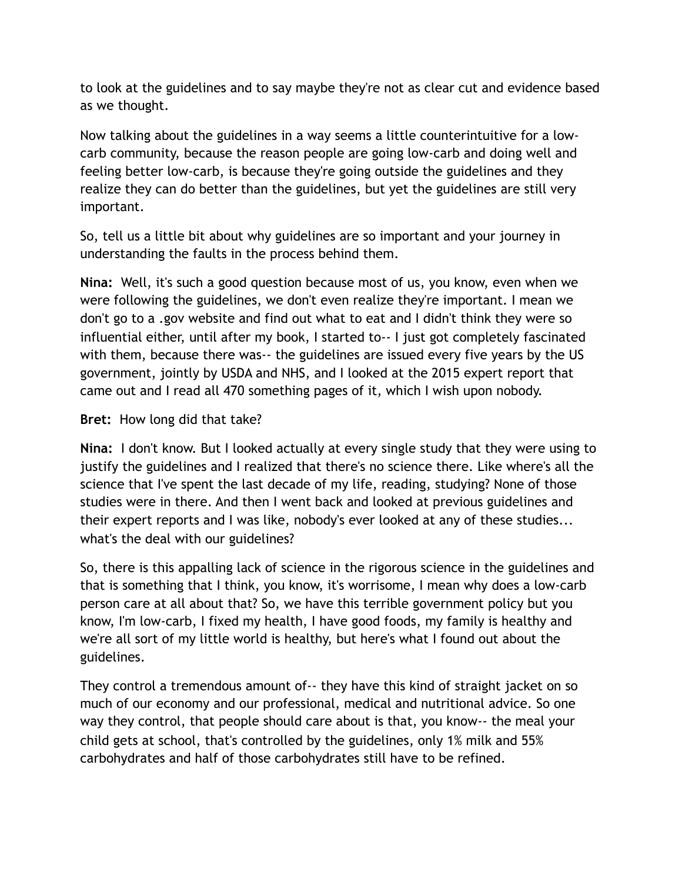to look at the guidelines and to say maybe they're not as clear cut and evidence based as we thought.

Now talking about the guidelines in a way seems a little counterintuitive for a lowcarb community, because the reason people are going low-carb and doing well and feeling better low-carb, is because they're going outside the guidelines and they realize they can do better than the guidelines, but yet the guidelines are still very important.

So, tell us a little bit about why guidelines are so important and your journey in understanding the faults in the process behind them.

**Nina:** Well, it's such a good question because most of us, you know, even when we were following the guidelines, we don't even realize they're important. I mean we don't go to a .gov website and find out what to eat and I didn't think they were so influential either, until after my book, I started to-- I just got completely fascinated with them, because there was-- the guidelines are issued every five years by the US government, jointly by USDA and NHS, and I looked at the 2015 expert report that came out and I read all 470 something pages of it, which I wish upon nobody.

#### **Bret:** How long did that take?

**Nina:** I don't know. But I looked actually at every single study that they were using to justify the guidelines and I realized that there's no science there. Like where's all the science that I've spent the last decade of my life, reading, studying? None of those studies were in there. And then I went back and looked at previous guidelines and their expert reports and I was like, nobody's ever looked at any of these studies... what's the deal with our guidelines?

So, there is this appalling lack of science in the rigorous science in the guidelines and that is something that I think, you know, it's worrisome, I mean why does a low-carb person care at all about that? So, we have this terrible government policy but you know, I'm low-carb, I fixed my health, I have good foods, my family is healthy and we're all sort of my little world is healthy, but here's what I found out about the guidelines.

They control a tremendous amount of-- they have this kind of straight jacket on so much of our economy and our professional, medical and nutritional advice. So one way they control, that people should care about is that, you know-- the meal your child gets at school, that's controlled by the guidelines, only 1% milk and 55% carbohydrates and half of those carbohydrates still have to be refined.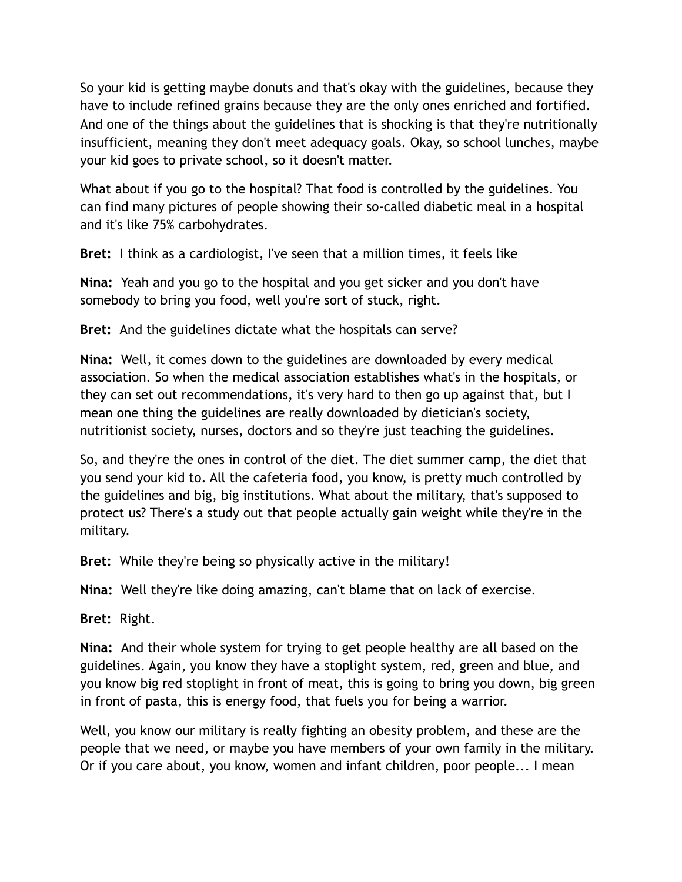So your kid is getting maybe donuts and that's okay with the guidelines, because they have to include refined grains because they are the only ones enriched and fortified. And one of the things about the guidelines that is shocking is that they're nutritionally insufficient, meaning they don't meet adequacy goals. Okay, so school lunches, maybe your kid goes to private school, so it doesn't matter.

What about if you go to the hospital? That food is controlled by the guidelines. You can find many pictures of people showing their so-called diabetic meal in a hospital and it's like 75% carbohydrates.

**Bret:** I think as a cardiologist, I've seen that a million times, it feels like

**Nina:** Yeah and you go to the hospital and you get sicker and you don't have somebody to bring you food, well you're sort of stuck, right.

**Bret:** And the guidelines dictate what the hospitals can serve?

**Nina:** Well, it comes down to the guidelines are downloaded by every medical association. So when the medical association establishes what's in the hospitals, or they can set out recommendations, it's very hard to then go up against that, but I mean one thing the guidelines are really downloaded by dietician's society, nutritionist society, nurses, doctors and so they're just teaching the guidelines.

So, and they're the ones in control of the diet. The diet summer camp, the diet that you send your kid to. All the cafeteria food, you know, is pretty much controlled by the guidelines and big, big institutions. What about the military, that's supposed to protect us? There's a study out that people actually gain weight while they're in the military.

**Bret:** While they're being so physically active in the military!

**Nina:** Well they're like doing amazing, can't blame that on lack of exercise.

**Bret:** Right.

**Nina:** And their whole system for trying to get people healthy are all based on the guidelines. Again, you know they have a stoplight system, red, green and blue, and you know big red stoplight in front of meat, this is going to bring you down, big green in front of pasta, this is energy food, that fuels you for being a warrior.

Well, you know our military is really fighting an obesity problem, and these are the people that we need, or maybe you have members of your own family in the military. Or if you care about, you know, women and infant children, poor people... I mean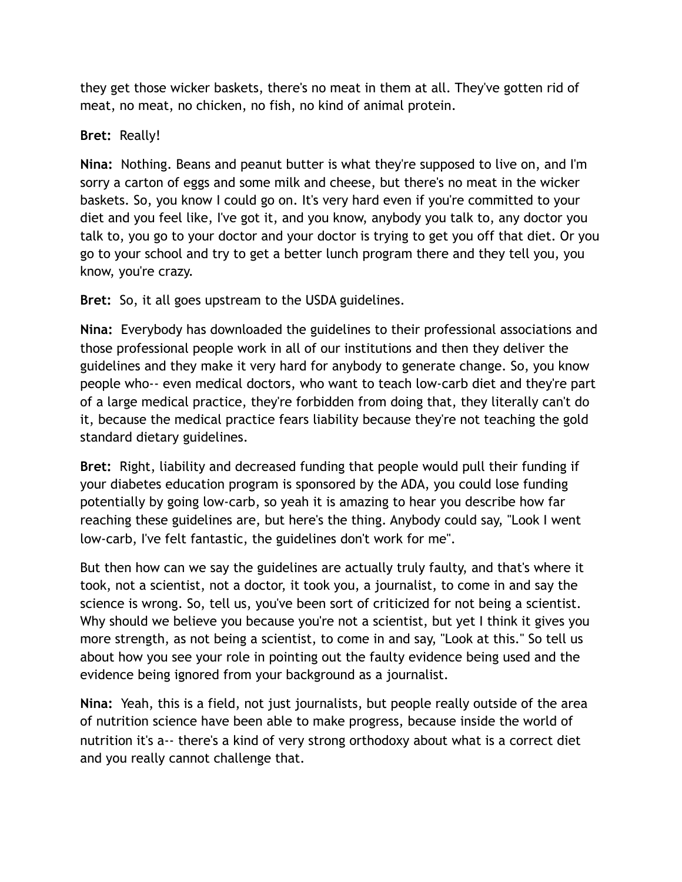they get those wicker baskets, there's no meat in them at all. They've gotten rid of meat, no meat, no chicken, no fish, no kind of animal protein.

### **Bret:** Really!

**Nina:** Nothing. Beans and peanut butter is what they're supposed to live on, and I'm sorry a carton of eggs and some milk and cheese, but there's no meat in the wicker baskets. So, you know I could go on. It's very hard even if you're committed to your diet and you feel like, I've got it, and you know, anybody you talk to, any doctor you talk to, you go to your doctor and your doctor is trying to get you off that diet. Or you go to your school and try to get a better lunch program there and they tell you, you know, you're crazy.

**Bret:** So, it all goes upstream to the USDA guidelines.

**Nina:** Everybody has downloaded the guidelines to their professional associations and those professional people work in all of our institutions and then they deliver the guidelines and they make it very hard for anybody to generate change. So, you know people who-- even medical doctors, who want to teach low-carb diet and they're part of a large medical practice, they're forbidden from doing that, they literally can't do it, because the medical practice fears liability because they're not teaching the gold standard dietary guidelines.

**Bret:** Right, liability and decreased funding that people would pull their funding if your diabetes education program is sponsored by the ADA, you could lose funding potentially by going low-carb, so yeah it is amazing to hear you describe how far reaching these guidelines are, but here's the thing. Anybody could say, "Look I went low-carb, I've felt fantastic, the guidelines don't work for me".

But then how can we say the guidelines are actually truly faulty, and that's where it took, not a scientist, not a doctor, it took you, a journalist, to come in and say the science is wrong. So, tell us, you've been sort of criticized for not being a scientist. Why should we believe you because you're not a scientist, but yet I think it gives you more strength, as not being a scientist, to come in and say, "Look at this." So tell us about how you see your role in pointing out the faulty evidence being used and the evidence being ignored from your background as a journalist.

**Nina:** Yeah, this is a field, not just journalists, but people really outside of the area of nutrition science have been able to make progress, because inside the world of nutrition it's a-- there's a kind of very strong orthodoxy about what is a correct diet and you really cannot challenge that.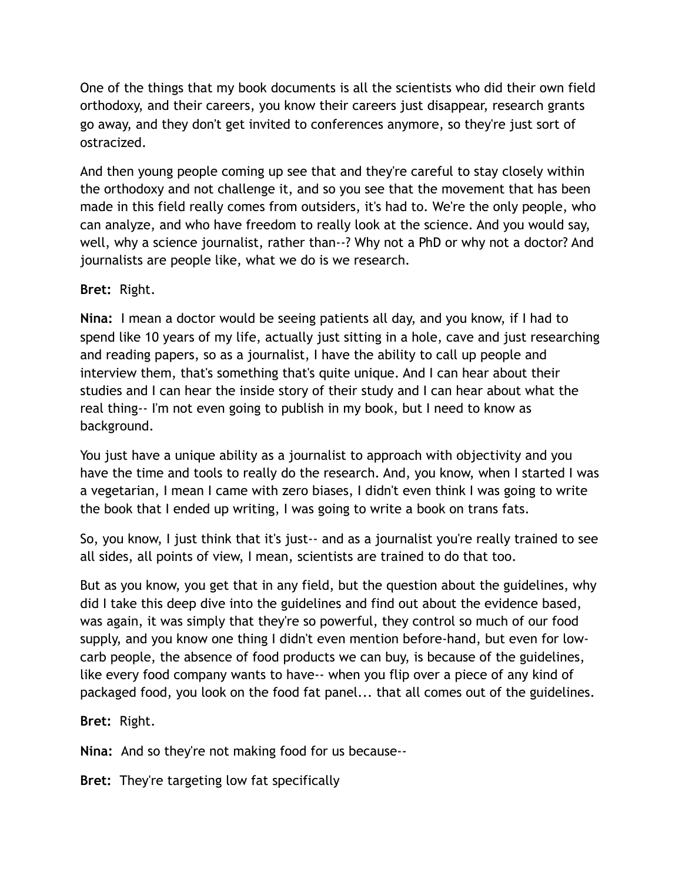One of the things that my book documents is all the scientists who did their own field orthodoxy, and their careers, you know their careers just disappear, research grants go away, and they don't get invited to conferences anymore, so they're just sort of ostracized.

And then young people coming up see that and they're careful to stay closely within the orthodoxy and not challenge it, and so you see that the movement that has been made in this field really comes from outsiders, it's had to. We're the only people, who can analyze, and who have freedom to really look at the science. And you would say, well, why a science journalist, rather than--? Why not a PhD or why not a doctor? And journalists are people like, what we do is we research.

### **Bret:** Right.

**Nina:** I mean a doctor would be seeing patients all day, and you know, if I had to spend like 10 years of my life, actually just sitting in a hole, cave and just researching and reading papers, so as a journalist, I have the ability to call up people and interview them, that's something that's quite unique. And I can hear about their studies and I can hear the inside story of their study and I can hear about what the real thing-- I'm not even going to publish in my book, but I need to know as background.

You just have a unique ability as a journalist to approach with objectivity and you have the time and tools to really do the research. And, you know, when I started I was a vegetarian, I mean I came with zero biases, I didn't even think I was going to write the book that I ended up writing, I was going to write a book on trans fats.

So, you know, I just think that it's just-- and as a journalist you're really trained to see all sides, all points of view, I mean, scientists are trained to do that too.

But as you know, you get that in any field, but the question about the guidelines, why did I take this deep dive into the guidelines and find out about the evidence based, was again, it was simply that they're so powerful, they control so much of our food supply, and you know one thing I didn't even mention before-hand, but even for lowcarb people, the absence of food products we can buy, is because of the guidelines, like every food company wants to have-- when you flip over a piece of any kind of packaged food, you look on the food fat panel... that all comes out of the guidelines.

**Bret:** Right.

**Nina:** And so they're not making food for us because--

**Bret:** They're targeting low fat specifically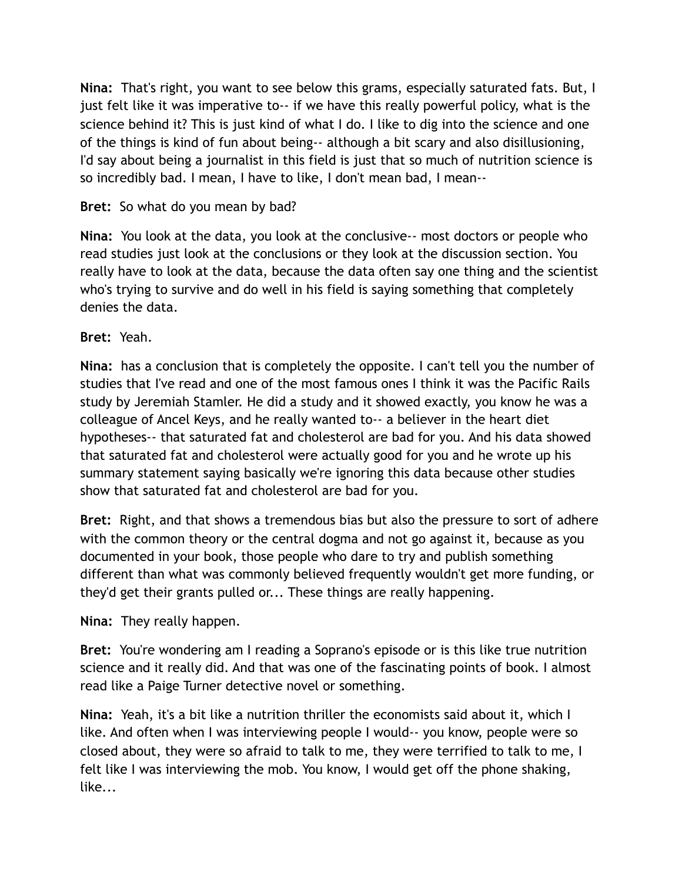**Nina:** That's right, you want to see below this grams, especially saturated fats. But, I just felt like it was imperative to-- if we have this really powerful policy, what is the science behind it? This is just kind of what I do. I like to dig into the science and one of the things is kind of fun about being-- although a bit scary and also disillusioning, I'd say about being a journalist in this field is just that so much of nutrition science is so incredibly bad. I mean, I have to like, I don't mean bad, I mean--

## **Bret:** So what do you mean by bad?

**Nina:** You look at the data, you look at the conclusive-- most doctors or people who read studies just look at the conclusions or they look at the discussion section. You really have to look at the data, because the data often say one thing and the scientist who's trying to survive and do well in his field is saying something that completely denies the data.

### **Bret:** Yeah.

**Nina:** has a conclusion that is completely the opposite. I can't tell you the number of studies that I've read and one of the most famous ones I think it was the Pacific Rails study by Jeremiah Stamler. He did a study and it showed exactly, you know he was a colleague of Ancel Keys, and he really wanted to-- a believer in the heart diet hypotheses-- that saturated fat and cholesterol are bad for you. And his data showed that saturated fat and cholesterol were actually good for you and he wrote up his summary statement saying basically we're ignoring this data because other studies show that saturated fat and cholesterol are bad for you.

**Bret:** Right, and that shows a tremendous bias but also the pressure to sort of adhere with the common theory or the central dogma and not go against it, because as you documented in your book, those people who dare to try and publish something different than what was commonly believed frequently wouldn't get more funding, or they'd get their grants pulled or... These things are really happening.

**Nina:** They really happen.

**Bret:** You're wondering am I reading a Soprano's episode or is this like true nutrition science and it really did. And that was one of the fascinating points of book. I almost read like a Paige Turner detective novel or something.

**Nina:** Yeah, it's a bit like a nutrition thriller the economists said about it, which I like. And often when I was interviewing people I would-- you know, people were so closed about, they were so afraid to talk to me, they were terrified to talk to me, I felt like I was interviewing the mob. You know, I would get off the phone shaking, like...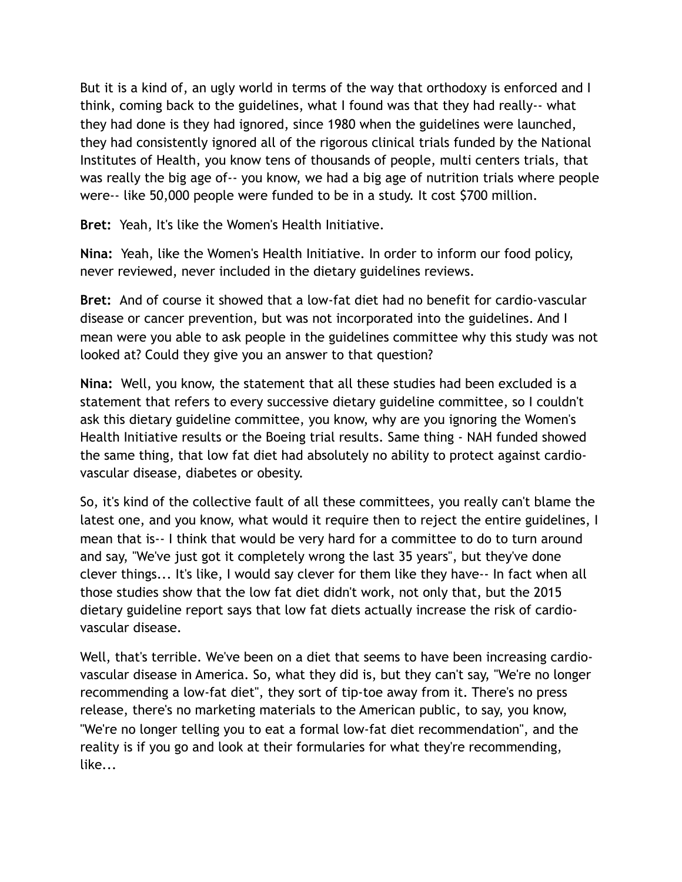But it is a kind of, an ugly world in terms of the way that orthodoxy is enforced and I think, coming back to the guidelines, what I found was that they had really-- what they had done is they had ignored, since 1980 when the guidelines were launched, they had consistently ignored all of the rigorous clinical trials funded by the National Institutes of Health, you know tens of thousands of people, multi centers trials, that was really the big age of-- you know, we had a big age of nutrition trials where people were-- like 50,000 people were funded to be in a study. It cost \$700 million.

**Bret:** Yeah, It's like the Women's Health Initiative.

**Nina:** Yeah, like the Women's Health Initiative. In order to inform our food policy, never reviewed, never included in the dietary guidelines reviews.

**Bret:** And of course it showed that a low-fat diet had no benefit for cardio-vascular disease or cancer prevention, but was not incorporated into the guidelines. And I mean were you able to ask people in the guidelines committee why this study was not looked at? Could they give you an answer to that question?

**Nina:** Well, you know, the statement that all these studies had been excluded is a statement that refers to every successive dietary guideline committee, so I couldn't ask this dietary guideline committee, you know, why are you ignoring the Women's Health Initiative results or the Boeing trial results. Same thing - NAH funded showed the same thing, that low fat diet had absolutely no ability to protect against cardiovascular disease, diabetes or obesity.

So, it's kind of the collective fault of all these committees, you really can't blame the latest one, and you know, what would it require then to reject the entire guidelines, I mean that is-- I think that would be very hard for a committee to do to turn around and say, "We've just got it completely wrong the last 35 years", but they've done clever things... It's like, I would say clever for them like they have-- In fact when all those studies show that the low fat diet didn't work, not only that, but the 2015 dietary guideline report says that low fat diets actually increase the risk of cardiovascular disease.

Well, that's terrible. We've been on a diet that seems to have been increasing cardiovascular disease in America. So, what they did is, but they can't say, "We're no longer recommending a low-fat diet", they sort of tip-toe away from it. There's no press release, there's no marketing materials to the American public, to say, you know, "We're no longer telling you to eat a formal low-fat diet recommendation", and the reality is if you go and look at their formularies for what they're recommending, like...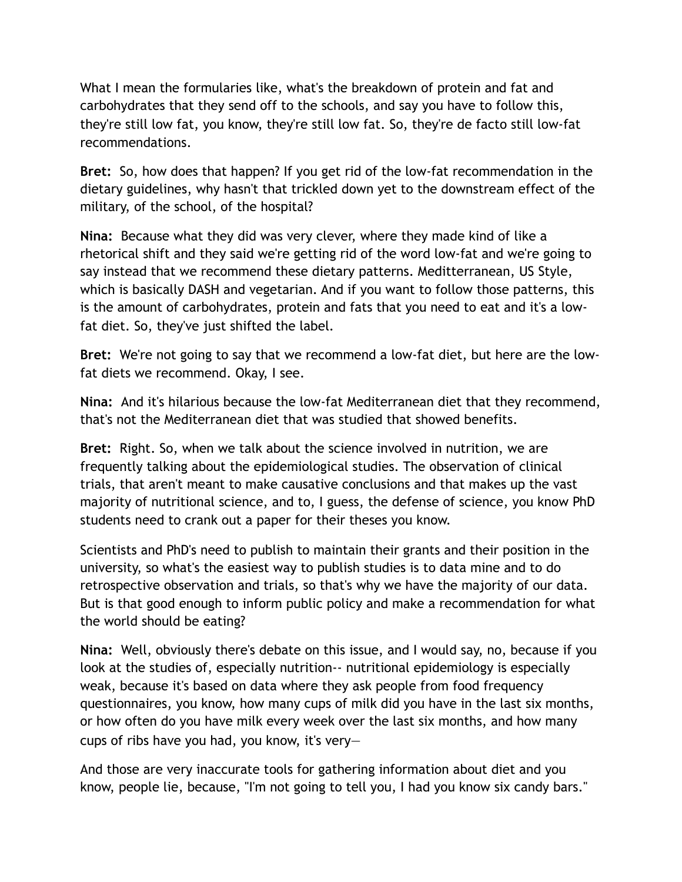What I mean the formularies like, what's the breakdown of protein and fat and carbohydrates that they send off to the schools, and say you have to follow this, they're still low fat, you know, they're still low fat. So, they're de facto still low-fat recommendations.

**Bret:** So, how does that happen? If you get rid of the low-fat recommendation in the dietary guidelines, why hasn't that trickled down yet to the downstream effect of the military, of the school, of the hospital?

**Nina:** Because what they did was very clever, where they made kind of like a rhetorical shift and they said we're getting rid of the word low-fat and we're going to say instead that we recommend these dietary patterns. Meditterranean, US Style, which is basically DASH and vegetarian. And if you want to follow those patterns, this is the amount of carbohydrates, protein and fats that you need to eat and it's a lowfat diet. So, they've just shifted the label.

**Bret:** We're not going to say that we recommend a low-fat diet, but here are the lowfat diets we recommend. Okay, I see.

**Nina:** And it's hilarious because the low-fat Mediterranean diet that they recommend, that's not the Mediterranean diet that was studied that showed benefits.

**Bret:** Right. So, when we talk about the science involved in nutrition, we are frequently talking about the epidemiological studies. The observation of clinical trials, that aren't meant to make causative conclusions and that makes up the vast majority of nutritional science, and to, I guess, the defense of science, you know PhD students need to crank out a paper for their theses you know.

Scientists and PhD's need to publish to maintain their grants and their position in the university, so what's the easiest way to publish studies is to data mine and to do retrospective observation and trials, so that's why we have the majority of our data. But is that good enough to inform public policy and make a recommendation for what the world should be eating?

**Nina:** Well, obviously there's debate on this issue, and I would say, no, because if you look at the studies of, especially nutrition-- nutritional epidemiology is especially weak, because it's based on data where they ask people from food frequency questionnaires, you know, how many cups of milk did you have in the last six months, or how often do you have milk every week over the last six months, and how many cups of ribs have you had, you know, it's very—

And those are very inaccurate tools for gathering information about diet and you know, people lie, because, "I'm not going to tell you, I had you know six candy bars."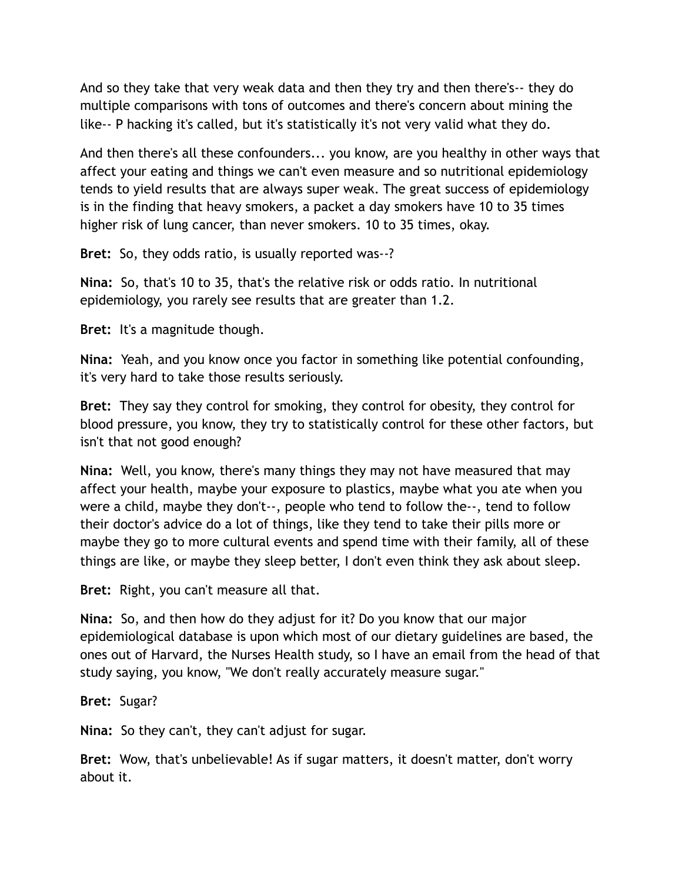And so they take that very weak data and then they try and then there's-- they do multiple comparisons with tons of outcomes and there's concern about mining the like-- P hacking it's called, but it's statistically it's not very valid what they do.

And then there's all these confounders... you know, are you healthy in other ways that affect your eating and things we can't even measure and so nutritional epidemiology tends to yield results that are always super weak. The great success of epidemiology is in the finding that heavy smokers, a packet a day smokers have 10 to 35 times higher risk of lung cancer, than never smokers. 10 to 35 times, okay.

**Bret:** So, they odds ratio, is usually reported was--?

**Nina:** So, that's 10 to 35, that's the relative risk or odds ratio. In nutritional epidemiology, you rarely see results that are greater than 1.2.

**Bret:** It's a magnitude though.

**Nina:** Yeah, and you know once you factor in something like potential confounding, it's very hard to take those results seriously.

**Bret:** They say they control for smoking, they control for obesity, they control for blood pressure, you know, they try to statistically control for these other factors, but isn't that not good enough?

**Nina:** Well, you know, there's many things they may not have measured that may affect your health, maybe your exposure to plastics, maybe what you ate when you were a child, maybe they don't--, people who tend to follow the--, tend to follow their doctor's advice do a lot of things, like they tend to take their pills more or maybe they go to more cultural events and spend time with their family, all of these things are like, or maybe they sleep better, I don't even think they ask about sleep.

**Bret:** Right, you can't measure all that.

**Nina:** So, and then how do they adjust for it? Do you know that our major epidemiological database is upon which most of our dietary guidelines are based, the ones out of Harvard, the Nurses Health study, so I have an email from the head of that study saying, you know, "We don't really accurately measure sugar."

**Bret:** Sugar?

**Nina:** So they can't, they can't adjust for sugar.

**Bret:** Wow, that's unbelievable! As if sugar matters, it doesn't matter, don't worry about it.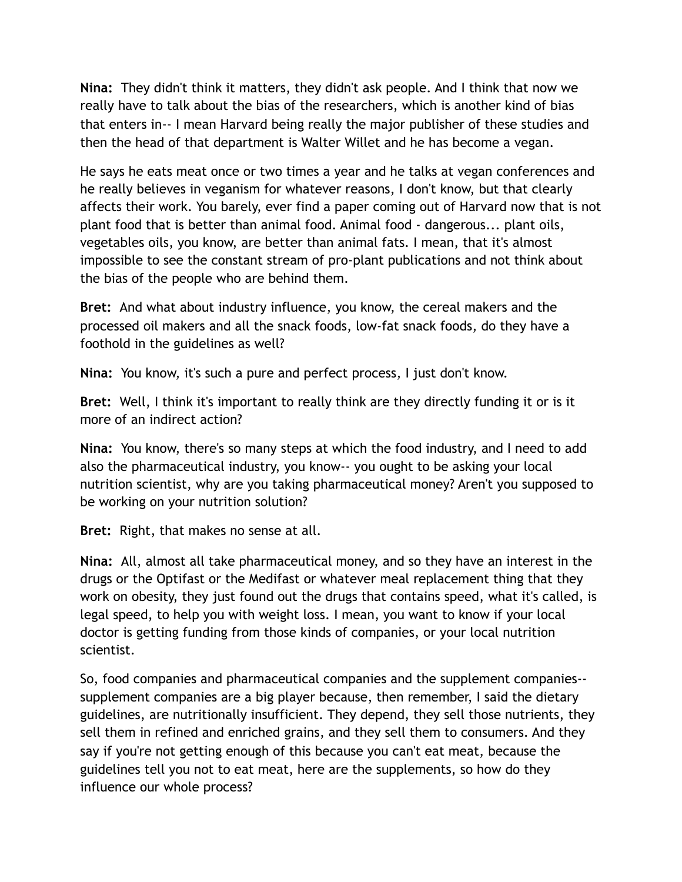**Nina:** They didn't think it matters, they didn't ask people. And I think that now we really have to talk about the bias of the researchers, which is another kind of bias that enters in-- I mean Harvard being really the major publisher of these studies and then the head of that department is Walter Willet and he has become a vegan.

He says he eats meat once or two times a year and he talks at vegan conferences and he really believes in veganism for whatever reasons, I don't know, but that clearly affects their work. You barely, ever find a paper coming out of Harvard now that is not plant food that is better than animal food. Animal food - dangerous... plant oils, vegetables oils, you know, are better than animal fats. I mean, that it's almost impossible to see the constant stream of pro-plant publications and not think about the bias of the people who are behind them.

**Bret:** And what about industry influence, you know, the cereal makers and the processed oil makers and all the snack foods, low-fat snack foods, do they have a foothold in the guidelines as well?

**Nina:** You know, it's such a pure and perfect process, I just don't know.

**Bret:** Well, I think it's important to really think are they directly funding it or is it more of an indirect action?

**Nina:** You know, there's so many steps at which the food industry, and I need to add also the pharmaceutical industry, you know-- you ought to be asking your local nutrition scientist, why are you taking pharmaceutical money? Aren't you supposed to be working on your nutrition solution?

**Bret:** Right, that makes no sense at all.

**Nina:** All, almost all take pharmaceutical money, and so they have an interest in the drugs or the Optifast or the Medifast or whatever meal replacement thing that they work on obesity, they just found out the drugs that contains speed, what it's called, is legal speed, to help you with weight loss. I mean, you want to know if your local doctor is getting funding from those kinds of companies, or your local nutrition scientist.

So, food companies and pharmaceutical companies and the supplement companies- supplement companies are a big player because, then remember, I said the dietary guidelines, are nutritionally insufficient. They depend, they sell those nutrients, they sell them in refined and enriched grains, and they sell them to consumers. And they say if you're not getting enough of this because you can't eat meat, because the guidelines tell you not to eat meat, here are the supplements, so how do they influence our whole process?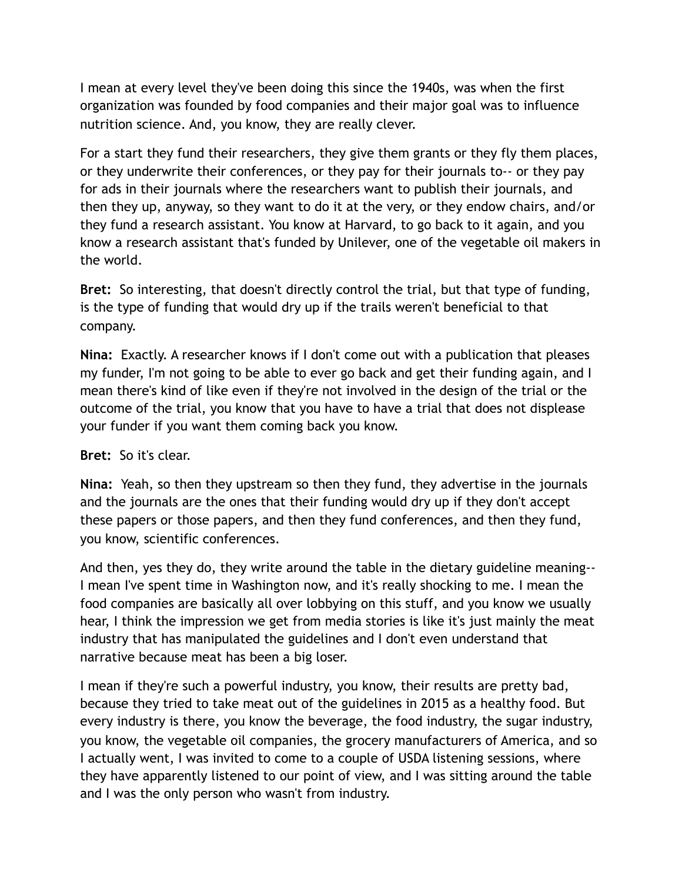I mean at every level they've been doing this since the 1940s, was when the first organization was founded by food companies and their major goal was to influence nutrition science. And, you know, they are really clever.

For a start they fund their researchers, they give them grants or they fly them places, or they underwrite their conferences, or they pay for their journals to-- or they pay for ads in their journals where the researchers want to publish their journals, and then they up, anyway, so they want to do it at the very, or they endow chairs, and/or they fund a research assistant. You know at Harvard, to go back to it again, and you know a research assistant that's funded by Unilever, one of the vegetable oil makers in the world.

**Bret:** So interesting, that doesn't directly control the trial, but that type of funding, is the type of funding that would dry up if the trails weren't beneficial to that company.

**Nina:** Exactly. A researcher knows if I don't come out with a publication that pleases my funder, I'm not going to be able to ever go back and get their funding again, and I mean there's kind of like even if they're not involved in the design of the trial or the outcome of the trial, you know that you have to have a trial that does not displease your funder if you want them coming back you know.

#### **Bret:** So it's clear.

**Nina:** Yeah, so then they upstream so then they fund, they advertise in the journals and the journals are the ones that their funding would dry up if they don't accept these papers or those papers, and then they fund conferences, and then they fund, you know, scientific conferences.

And then, yes they do, they write around the table in the dietary guideline meaning-- I mean I've spent time in Washington now, and it's really shocking to me. I mean the food companies are basically all over lobbying on this stuff, and you know we usually hear, I think the impression we get from media stories is like it's just mainly the meat industry that has manipulated the guidelines and I don't even understand that narrative because meat has been a big loser.

I mean if they're such a powerful industry, you know, their results are pretty bad, because they tried to take meat out of the guidelines in 2015 as a healthy food. But every industry is there, you know the beverage, the food industry, the sugar industry, you know, the vegetable oil companies, the grocery manufacturers of America, and so I actually went, I was invited to come to a couple of USDA listening sessions, where they have apparently listened to our point of view, and I was sitting around the table and I was the only person who wasn't from industry.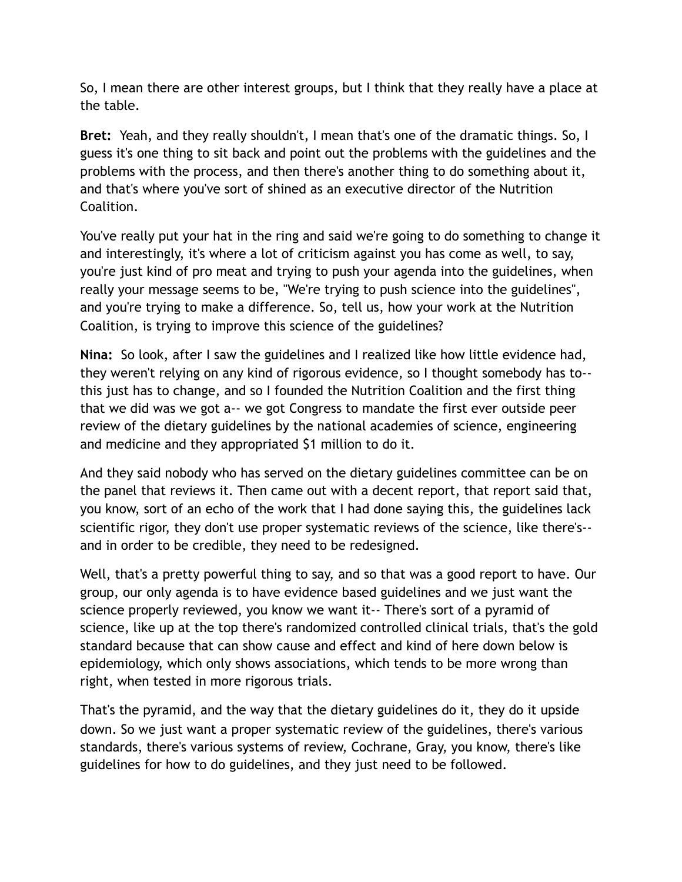So, I mean there are other interest groups, but I think that they really have a place at the table.

**Bret:** Yeah, and they really shouldn't, I mean that's one of the dramatic things. So, I guess it's one thing to sit back and point out the problems with the guidelines and the problems with the process, and then there's another thing to do something about it, and that's where you've sort of shined as an executive director of the Nutrition Coalition.

You've really put your hat in the ring and said we're going to do something to change it and interestingly, it's where a lot of criticism against you has come as well, to say, you're just kind of pro meat and trying to push your agenda into the guidelines, when really your message seems to be, "We're trying to push science into the guidelines", and you're trying to make a difference. So, tell us, how your work at the Nutrition Coalition, is trying to improve this science of the guidelines?

**Nina:** So look, after I saw the guidelines and I realized like how little evidence had, they weren't relying on any kind of rigorous evidence, so I thought somebody has to- this just has to change, and so I founded the Nutrition Coalition and the first thing that we did was we got a-- we got Congress to mandate the first ever outside peer review of the dietary guidelines by the national academies of science, engineering and medicine and they appropriated \$1 million to do it.

And they said nobody who has served on the dietary guidelines committee can be on the panel that reviews it. Then came out with a decent report, that report said that, you know, sort of an echo of the work that I had done saying this, the guidelines lack scientific rigor, they don't use proper systematic reviews of the science, like there's- and in order to be credible, they need to be redesigned.

Well, that's a pretty powerful thing to say, and so that was a good report to have. Our group, our only agenda is to have evidence based guidelines and we just want the science properly reviewed, you know we want it-- There's sort of a pyramid of science, like up at the top there's randomized controlled clinical trials, that's the gold standard because that can show cause and effect and kind of here down below is epidemiology, which only shows associations, which tends to be more wrong than right, when tested in more rigorous trials.

That's the pyramid, and the way that the dietary guidelines do it, they do it upside down. So we just want a proper systematic review of the guidelines, there's various standards, there's various systems of review, Cochrane, Gray, you know, there's like guidelines for how to do guidelines, and they just need to be followed.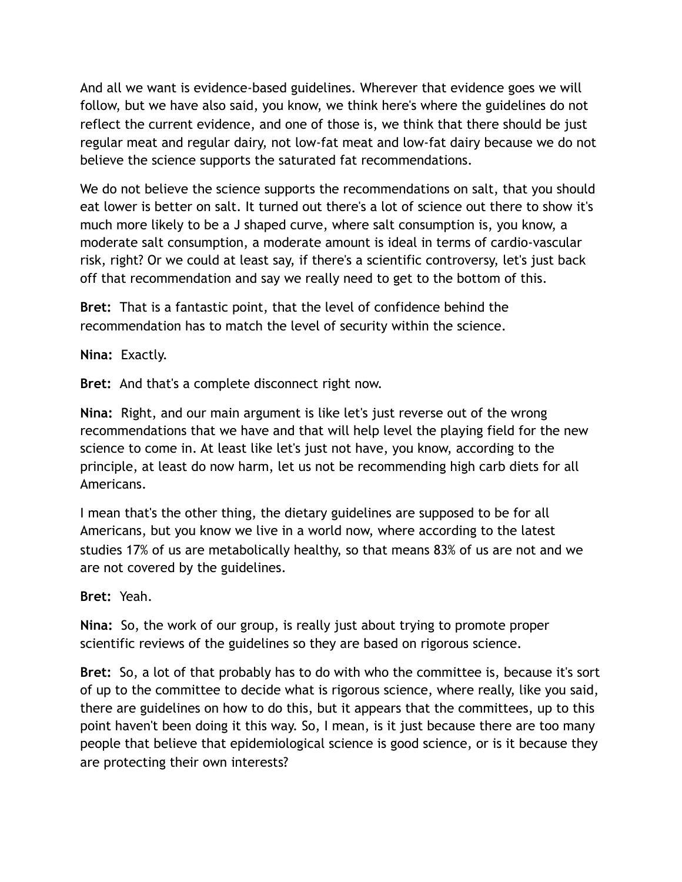And all we want is evidence-based guidelines. Wherever that evidence goes we will follow, but we have also said, you know, we think here's where the guidelines do not reflect the current evidence, and one of those is, we think that there should be just regular meat and regular dairy, not low-fat meat and low-fat dairy because we do not believe the science supports the saturated fat recommendations.

We do not believe the science supports the recommendations on salt, that you should eat lower is better on salt. It turned out there's a lot of science out there to show it's much more likely to be a J shaped curve, where salt consumption is, you know, a moderate salt consumption, a moderate amount is ideal in terms of cardio-vascular risk, right? Or we could at least say, if there's a scientific controversy, let's just back off that recommendation and say we really need to get to the bottom of this.

**Bret:** That is a fantastic point, that the level of confidence behind the recommendation has to match the level of security within the science.

**Nina:** Exactly.

**Bret:** And that's a complete disconnect right now.

**Nina:** Right, and our main argument is like let's just reverse out of the wrong recommendations that we have and that will help level the playing field for the new science to come in. At least like let's just not have, you know, according to the principle, at least do now harm, let us not be recommending high carb diets for all Americans.

I mean that's the other thing, the dietary guidelines are supposed to be for all Americans, but you know we live in a world now, where according to the latest studies 17% of us are metabolically healthy, so that means 83% of us are not and we are not covered by the guidelines.

**Bret:** Yeah.

**Nina:** So, the work of our group, is really just about trying to promote proper scientific reviews of the guidelines so they are based on rigorous science.

**Bret:** So, a lot of that probably has to do with who the committee is, because it's sort of up to the committee to decide what is rigorous science, where really, like you said, there are guidelines on how to do this, but it appears that the committees, up to this point haven't been doing it this way. So, I mean, is it just because there are too many people that believe that epidemiological science is good science, or is it because they are protecting their own interests?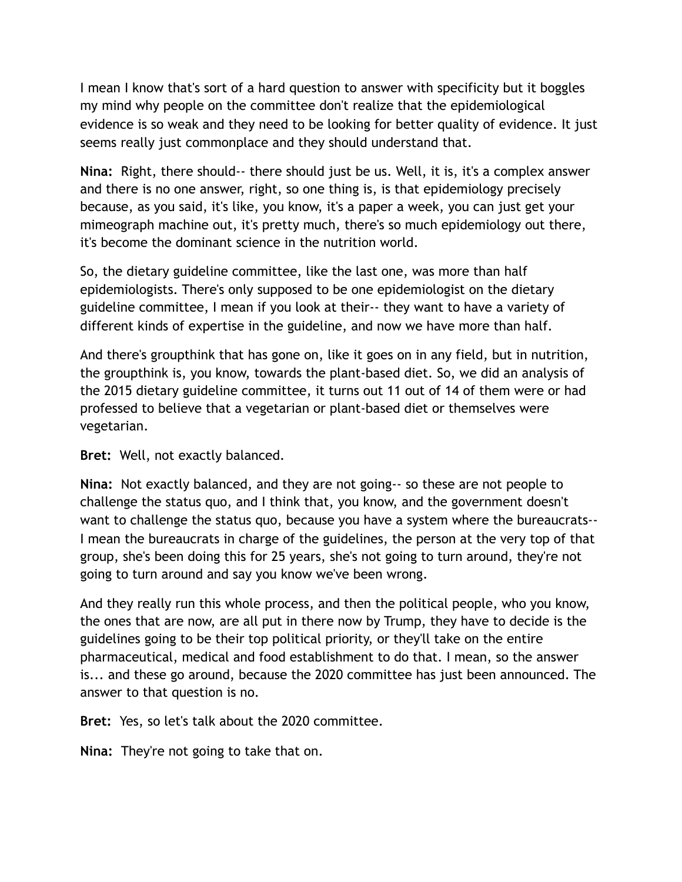I mean I know that's sort of a hard question to answer with specificity but it boggles my mind why people on the committee don't realize that the epidemiological evidence is so weak and they need to be looking for better quality of evidence. It just seems really just commonplace and they should understand that.

**Nina:** Right, there should-- there should just be us. Well, it is, it's a complex answer and there is no one answer, right, so one thing is, is that epidemiology precisely because, as you said, it's like, you know, it's a paper a week, you can just get your mimeograph machine out, it's pretty much, there's so much epidemiology out there, it's become the dominant science in the nutrition world.

So, the dietary guideline committee, like the last one, was more than half epidemiologists. There's only supposed to be one epidemiologist on the dietary guideline committee, I mean if you look at their-- they want to have a variety of different kinds of expertise in the guideline, and now we have more than half.

And there's groupthink that has gone on, like it goes on in any field, but in nutrition, the groupthink is, you know, towards the plant-based diet. So, we did an analysis of the 2015 dietary guideline committee, it turns out 11 out of 14 of them were or had professed to believe that a vegetarian or plant-based diet or themselves were vegetarian.

**Bret:** Well, not exactly balanced.

**Nina:** Not exactly balanced, and they are not going-- so these are not people to challenge the status quo, and I think that, you know, and the government doesn't want to challenge the status quo, because you have a system where the bureaucrats-- I mean the bureaucrats in charge of the guidelines, the person at the very top of that group, she's been doing this for 25 years, she's not going to turn around, they're not going to turn around and say you know we've been wrong.

And they really run this whole process, and then the political people, who you know, the ones that are now, are all put in there now by Trump, they have to decide is the guidelines going to be their top political priority, or they'll take on the entire pharmaceutical, medical and food establishment to do that. I mean, so the answer is... and these go around, because the 2020 committee has just been announced. The answer to that question is no.

**Bret:** Yes, so let's talk about the 2020 committee.

**Nina:** They're not going to take that on.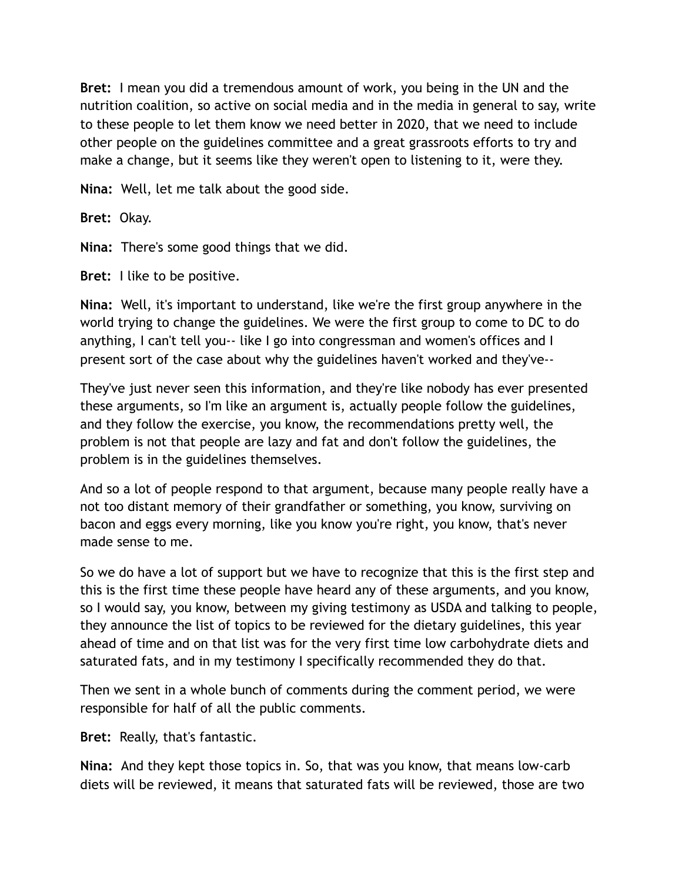**Bret:** I mean you did a tremendous amount of work, you being in the UN and the nutrition coalition, so active on social media and in the media in general to say, write to these people to let them know we need better in 2020, that we need to include other people on the guidelines committee and a great grassroots efforts to try and make a change, but it seems like they weren't open to listening to it, were they.

**Nina:** Well, let me talk about the good side.

**Bret:** Okay.

**Nina:** There's some good things that we did.

**Bret:** I like to be positive.

**Nina:** Well, it's important to understand, like we're the first group anywhere in the world trying to change the guidelines. We were the first group to come to DC to do anything, I can't tell you-- like I go into congressman and women's offices and I present sort of the case about why the guidelines haven't worked and they've--

They've just never seen this information, and they're like nobody has ever presented these arguments, so I'm like an argument is, actually people follow the guidelines, and they follow the exercise, you know, the recommendations pretty well, the problem is not that people are lazy and fat and don't follow the guidelines, the problem is in the guidelines themselves.

And so a lot of people respond to that argument, because many people really have a not too distant memory of their grandfather or something, you know, surviving on bacon and eggs every morning, like you know you're right, you know, that's never made sense to me.

So we do have a lot of support but we have to recognize that this is the first step and this is the first time these people have heard any of these arguments, and you know, so I would say, you know, between my giving testimony as USDA and talking to people, they announce the list of topics to be reviewed for the dietary guidelines, this year ahead of time and on that list was for the very first time low carbohydrate diets and saturated fats, and in my testimony I specifically recommended they do that.

Then we sent in a whole bunch of comments during the comment period, we were responsible for half of all the public comments.

**Bret:** Really, that's fantastic.

**Nina:** And they kept those topics in. So, that was you know, that means low-carb diets will be reviewed, it means that saturated fats will be reviewed, those are two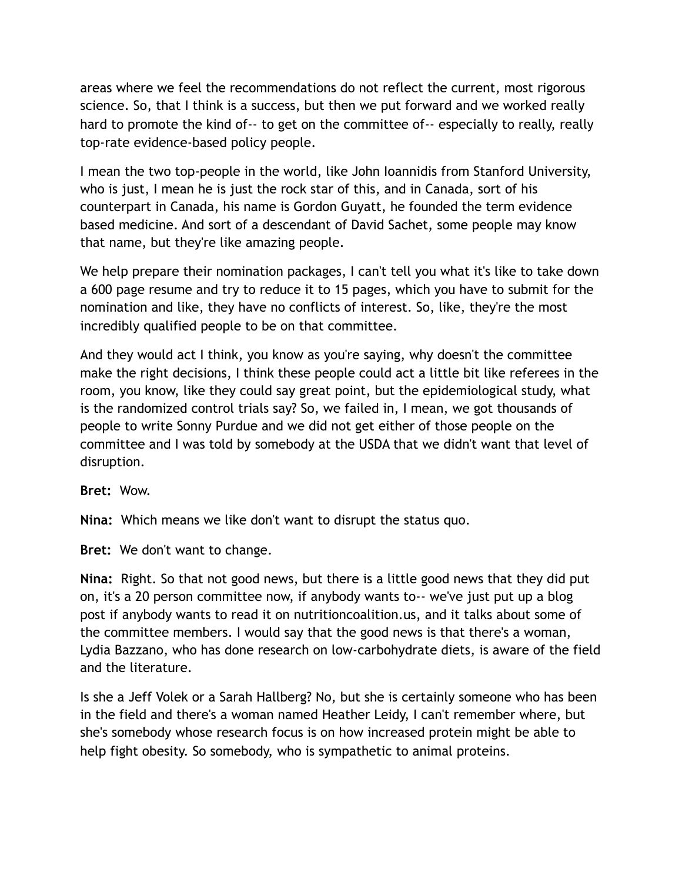areas where we feel the recommendations do not reflect the current, most rigorous science. So, that I think is a success, but then we put forward and we worked really hard to promote the kind of-- to get on the committee of-- especially to really, really top-rate evidence-based policy people.

I mean the two top-people in the world, like John Ioannidis from Stanford University, who is just, I mean he is just the rock star of this, and in Canada, sort of his counterpart in Canada, his name is Gordon Guyatt, he founded the term evidence based medicine. And sort of a descendant of David Sachet, some people may know that name, but they're like amazing people.

We help prepare their nomination packages, I can't tell you what it's like to take down a 600 page resume and try to reduce it to 15 pages, which you have to submit for the nomination and like, they have no conflicts of interest. So, like, they're the most incredibly qualified people to be on that committee.

And they would act I think, you know as you're saying, why doesn't the committee make the right decisions, I think these people could act a little bit like referees in the room, you know, like they could say great point, but the epidemiological study, what is the randomized control trials say? So, we failed in, I mean, we got thousands of people to write Sonny Purdue and we did not get either of those people on the committee and I was told by somebody at the USDA that we didn't want that level of disruption.

**Bret:** Wow.

**Nina:** Which means we like don't want to disrupt the status quo.

**Bret:** We don't want to change.

**Nina:** Right. So that not good news, but there is a little good news that they did put on, it's a 20 person committee now, if anybody wants to-- we've just put up a blog post if anybody wants to read it on nutritioncoalition.us, and it talks about some of the committee members. I would say that the good news is that there's a woman, Lydia Bazzano, who has done research on low-carbohydrate diets, is aware of the field and the literature.

Is she a Jeff Volek or a Sarah Hallberg? No, but she is certainly someone who has been in the field and there's a woman named Heather Leidy, I can't remember where, but she's somebody whose research focus is on how increased protein might be able to help fight obesity. So somebody, who is sympathetic to animal proteins.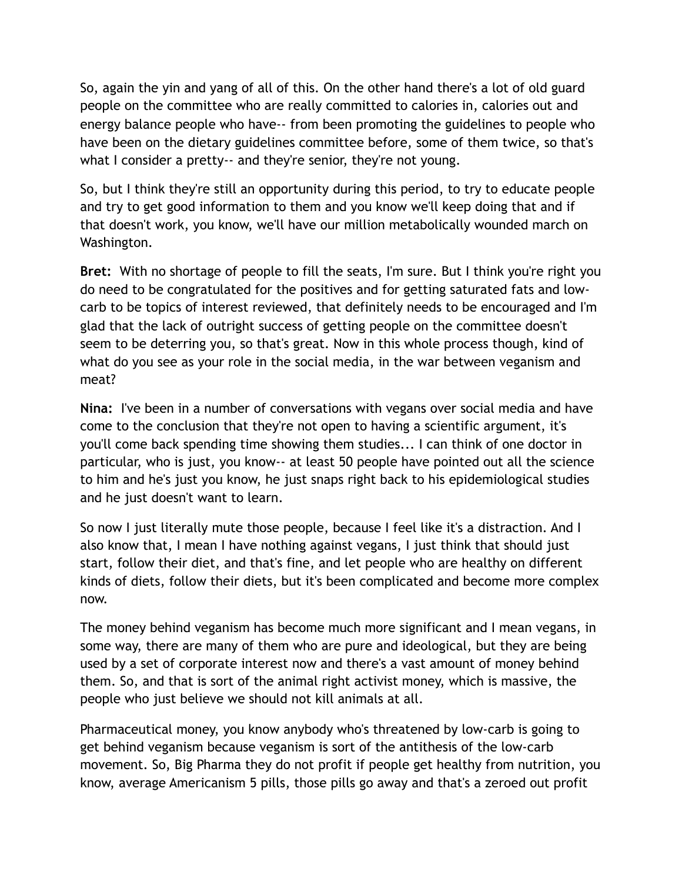So, again the yin and yang of all of this. On the other hand there's a lot of old guard people on the committee who are really committed to calories in, calories out and energy balance people who have-- from been promoting the guidelines to people who have been on the dietary guidelines committee before, some of them twice, so that's what I consider a pretty-- and they're senior, they're not young.

So, but I think they're still an opportunity during this period, to try to educate people and try to get good information to them and you know we'll keep doing that and if that doesn't work, you know, we'll have our million metabolically wounded march on Washington.

**Bret:** With no shortage of people to fill the seats, I'm sure. But I think you're right you do need to be congratulated for the positives and for getting saturated fats and lowcarb to be topics of interest reviewed, that definitely needs to be encouraged and I'm glad that the lack of outright success of getting people on the committee doesn't seem to be deterring you, so that's great. Now in this whole process though, kind of what do you see as your role in the social media, in the war between veganism and meat?

**Nina:** I've been in a number of conversations with vegans over social media and have come to the conclusion that they're not open to having a scientific argument, it's you'll come back spending time showing them studies... I can think of one doctor in particular, who is just, you know-- at least 50 people have pointed out all the science to him and he's just you know, he just snaps right back to his epidemiological studies and he just doesn't want to learn.

So now I just literally mute those people, because I feel like it's a distraction. And I also know that, I mean I have nothing against vegans, I just think that should just start, follow their diet, and that's fine, and let people who are healthy on different kinds of diets, follow their diets, but it's been complicated and become more complex now.

The money behind veganism has become much more significant and I mean vegans, in some way, there are many of them who are pure and ideological, but they are being used by a set of corporate interest now and there's a vast amount of money behind them. So, and that is sort of the animal right activist money, which is massive, the people who just believe we should not kill animals at all.

Pharmaceutical money, you know anybody who's threatened by low-carb is going to get behind veganism because veganism is sort of the antithesis of the low-carb movement. So, Big Pharma they do not profit if people get healthy from nutrition, you know, average Americanism 5 pills, those pills go away and that's a zeroed out profit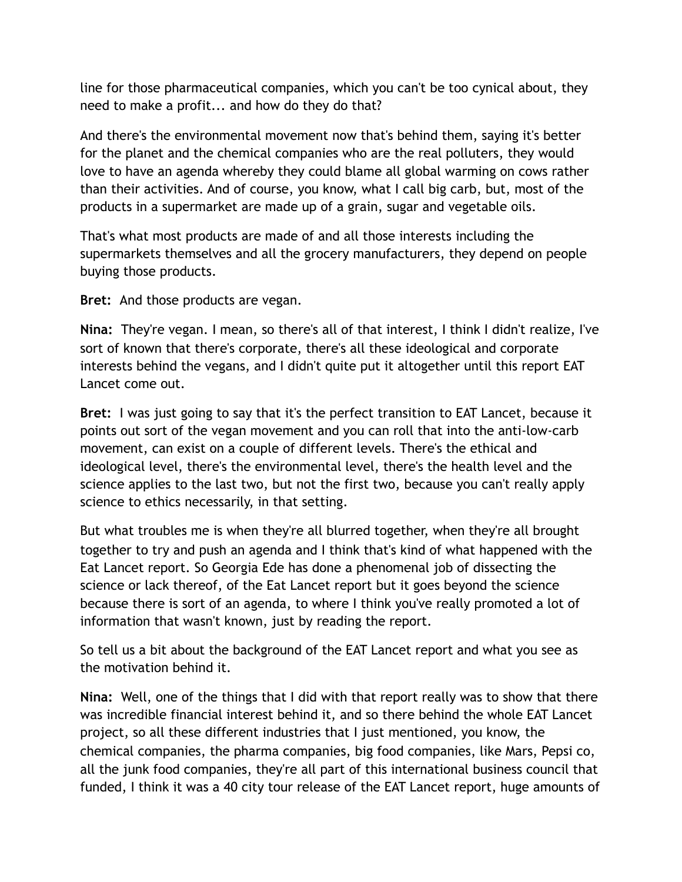line for those pharmaceutical companies, which you can't be too cynical about, they need to make a profit... and how do they do that?

And there's the environmental movement now that's behind them, saying it's better for the planet and the chemical companies who are the real polluters, they would love to have an agenda whereby they could blame all global warming on cows rather than their activities. And of course, you know, what I call big carb, but, most of the products in a supermarket are made up of a grain, sugar and vegetable oils.

That's what most products are made of and all those interests including the supermarkets themselves and all the grocery manufacturers, they depend on people buying those products.

**Bret:** And those products are vegan.

**Nina:** They're vegan. I mean, so there's all of that interest, I think I didn't realize, I've sort of known that there's corporate, there's all these ideological and corporate interests behind the vegans, and I didn't quite put it altogether until this report EAT Lancet come out.

**Bret:** I was just going to say that it's the perfect transition to EAT Lancet, because it points out sort of the vegan movement and you can roll that into the anti-low-carb movement, can exist on a couple of different levels. There's the ethical and ideological level, there's the environmental level, there's the health level and the science applies to the last two, but not the first two, because you can't really apply science to ethics necessarily, in that setting.

But what troubles me is when they're all blurred together, when they're all brought together to try and push an agenda and I think that's kind of what happened with the Eat Lancet report. So Georgia Ede has done a phenomenal job of dissecting the science or lack thereof, of the Eat Lancet report but it goes beyond the science because there is sort of an agenda, to where I think you've really promoted a lot of information that wasn't known, just by reading the report.

So tell us a bit about the background of the EAT Lancet report and what you see as the motivation behind it.

**Nina:** Well, one of the things that I did with that report really was to show that there was incredible financial interest behind it, and so there behind the whole EAT Lancet project, so all these different industries that I just mentioned, you know, the chemical companies, the pharma companies, big food companies, like Mars, Pepsi co, all the junk food companies, they're all part of this international business council that funded, I think it was a 40 city tour release of the EAT Lancet report, huge amounts of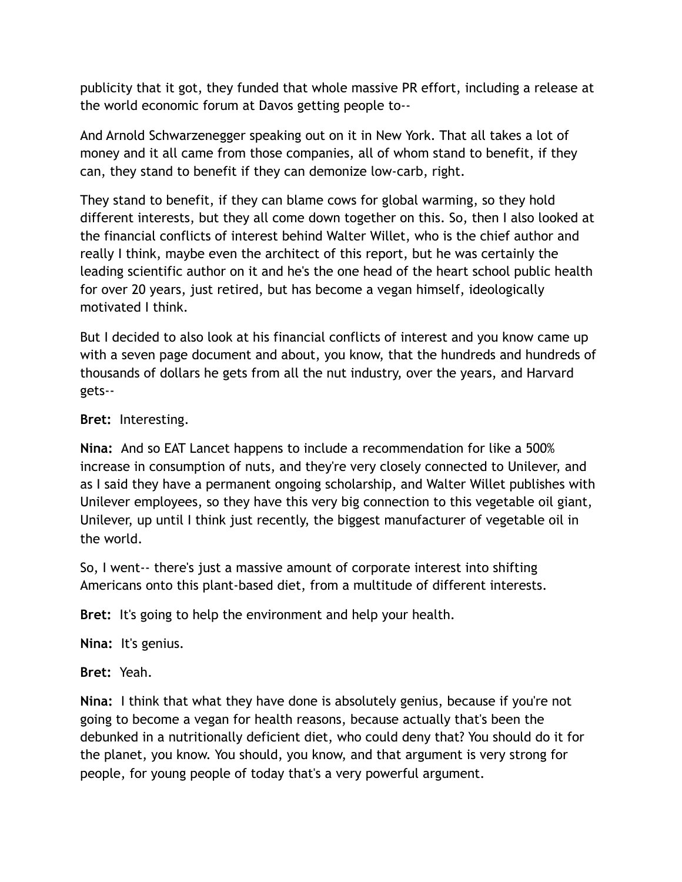publicity that it got, they funded that whole massive PR effort, including a release at the world economic forum at Davos getting people to--

And Arnold Schwarzenegger speaking out on it in New York. That all takes a lot of money and it all came from those companies, all of whom stand to benefit, if they can, they stand to benefit if they can demonize low-carb, right.

They stand to benefit, if they can blame cows for global warming, so they hold different interests, but they all come down together on this. So, then I also looked at the financial conflicts of interest behind Walter Willet, who is the chief author and really I think, maybe even the architect of this report, but he was certainly the leading scientific author on it and he's the one head of the heart school public health for over 20 years, just retired, but has become a vegan himself, ideologically motivated I think.

But I decided to also look at his financial conflicts of interest and you know came up with a seven page document and about, you know, that the hundreds and hundreds of thousands of dollars he gets from all the nut industry, over the years, and Harvard gets--

**Bret:** Interesting.

**Nina:** And so EAT Lancet happens to include a recommendation for like a 500% increase in consumption of nuts, and they're very closely connected to Unilever, and as I said they have a permanent ongoing scholarship, and Walter Willet publishes with Unilever employees, so they have this very big connection to this vegetable oil giant, Unilever, up until I think just recently, the biggest manufacturer of vegetable oil in the world.

So, I went-- there's just a massive amount of corporate interest into shifting Americans onto this plant-based diet, from a multitude of different interests.

**Bret:** It's going to help the environment and help your health.

**Nina:** It's genius.

**Bret:** Yeah.

**Nina:** I think that what they have done is absolutely genius, because if you're not going to become a vegan for health reasons, because actually that's been the debunked in a nutritionally deficient diet, who could deny that? You should do it for the planet, you know. You should, you know, and that argument is very strong for people, for young people of today that's a very powerful argument.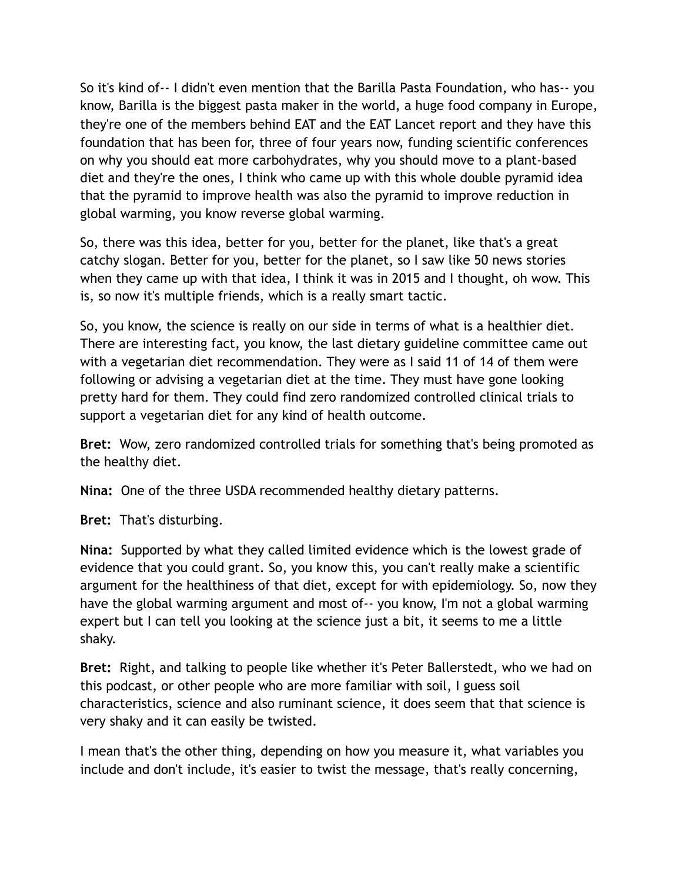So it's kind of-- I didn't even mention that the Barilla Pasta Foundation, who has-- you know, Barilla is the biggest pasta maker in the world, a huge food company in Europe, they're one of the members behind EAT and the EAT Lancet report and they have this foundation that has been for, three of four years now, funding scientific conferences on why you should eat more carbohydrates, why you should move to a plant-based diet and they're the ones, I think who came up with this whole double pyramid idea that the pyramid to improve health was also the pyramid to improve reduction in global warming, you know reverse global warming.

So, there was this idea, better for you, better for the planet, like that's a great catchy slogan. Better for you, better for the planet, so I saw like 50 news stories when they came up with that idea, I think it was in 2015 and I thought, oh wow. This is, so now it's multiple friends, which is a really smart tactic.

So, you know, the science is really on our side in terms of what is a healthier diet. There are interesting fact, you know, the last dietary guideline committee came out with a vegetarian diet recommendation. They were as I said 11 of 14 of them were following or advising a vegetarian diet at the time. They must have gone looking pretty hard for them. They could find zero randomized controlled clinical trials to support a vegetarian diet for any kind of health outcome.

**Bret:** Wow, zero randomized controlled trials for something that's being promoted as the healthy diet.

**Nina:** One of the three USDA recommended healthy dietary patterns.

**Bret:** That's disturbing.

**Nina:** Supported by what they called limited evidence which is the lowest grade of evidence that you could grant. So, you know this, you can't really make a scientific argument for the healthiness of that diet, except for with epidemiology. So, now they have the global warming argument and most of-- you know, I'm not a global warming expert but I can tell you looking at the science just a bit, it seems to me a little shaky.

**Bret:** Right, and talking to people like whether it's Peter Ballerstedt, who we had on this podcast, or other people who are more familiar with soil, I guess soil characteristics, science and also ruminant science, it does seem that that science is very shaky and it can easily be twisted.

I mean that's the other thing, depending on how you measure it, what variables you include and don't include, it's easier to twist the message, that's really concerning,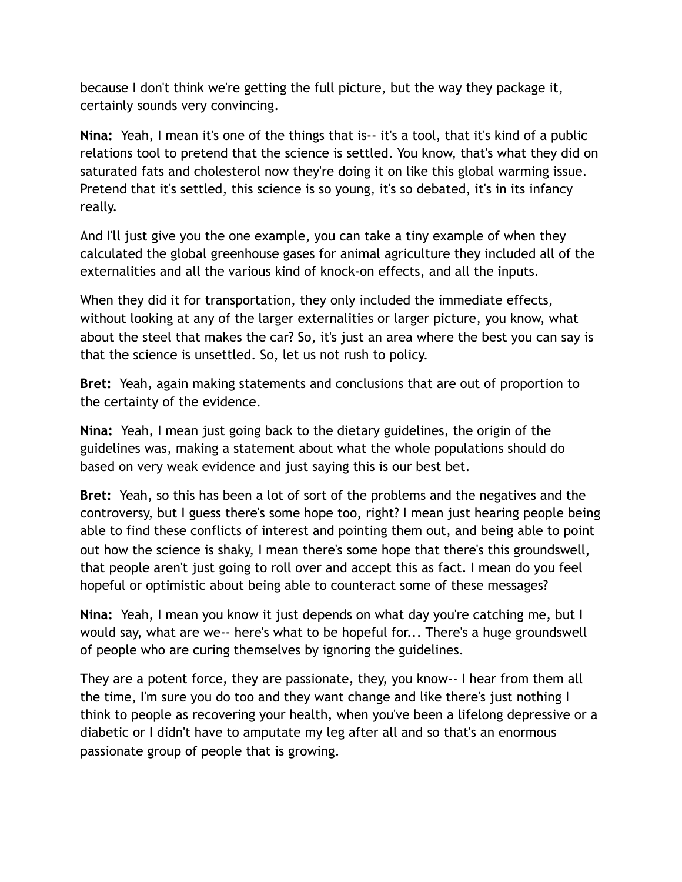because I don't think we're getting the full picture, but the way they package it, certainly sounds very convincing.

**Nina:** Yeah, I mean it's one of the things that is-- it's a tool, that it's kind of a public relations tool to pretend that the science is settled. You know, that's what they did on saturated fats and cholesterol now they're doing it on like this global warming issue. Pretend that it's settled, this science is so young, it's so debated, it's in its infancy really.

And I'll just give you the one example, you can take a tiny example of when they calculated the global greenhouse gases for animal agriculture they included all of the externalities and all the various kind of knock-on effects, and all the inputs.

When they did it for transportation, they only included the immediate effects, without looking at any of the larger externalities or larger picture, you know, what about the steel that makes the car? So, it's just an area where the best you can say is that the science is unsettled. So, let us not rush to policy.

**Bret:** Yeah, again making statements and conclusions that are out of proportion to the certainty of the evidence.

**Nina:** Yeah, I mean just going back to the dietary guidelines, the origin of the guidelines was, making a statement about what the whole populations should do based on very weak evidence and just saying this is our best bet.

**Bret:** Yeah, so this has been a lot of sort of the problems and the negatives and the controversy, but I guess there's some hope too, right? I mean just hearing people being able to find these conflicts of interest and pointing them out, and being able to point out how the science is shaky, I mean there's some hope that there's this groundswell, that people aren't just going to roll over and accept this as fact. I mean do you feel hopeful or optimistic about being able to counteract some of these messages?

**Nina:** Yeah, I mean you know it just depends on what day you're catching me, but I would say, what are we-- here's what to be hopeful for... There's a huge groundswell of people who are curing themselves by ignoring the guidelines.

They are a potent force, they are passionate, they, you know-- I hear from them all the time, I'm sure you do too and they want change and like there's just nothing I think to people as recovering your health, when you've been a lifelong depressive or a diabetic or I didn't have to amputate my leg after all and so that's an enormous passionate group of people that is growing.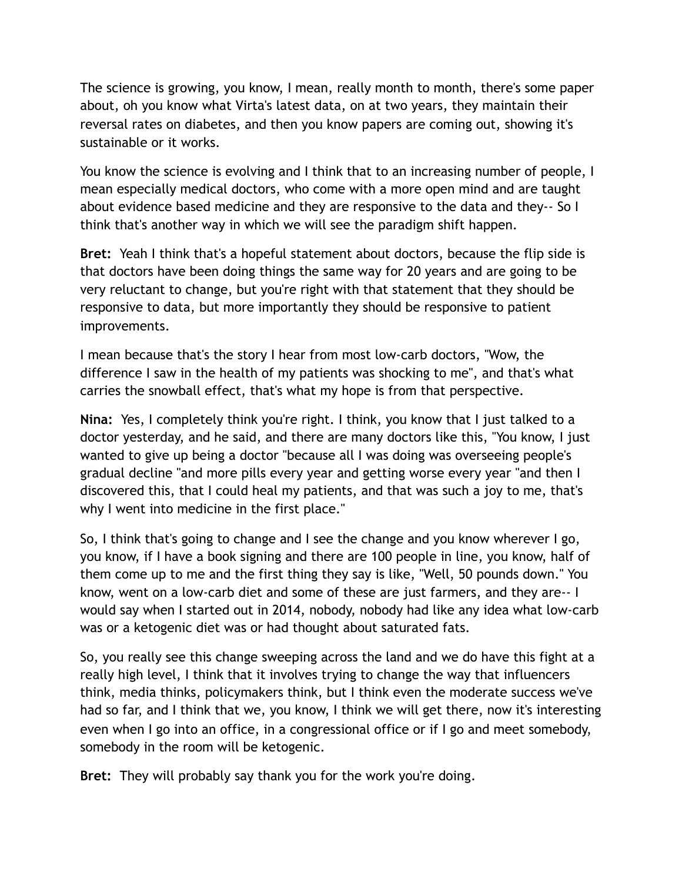The science is growing, you know, I mean, really month to month, there's some paper about, oh you know what Virta's latest data, on at two years, they maintain their reversal rates on diabetes, and then you know papers are coming out, showing it's sustainable or it works.

You know the science is evolving and I think that to an increasing number of people, I mean especially medical doctors, who come with a more open mind and are taught about evidence based medicine and they are responsive to the data and they-- So I think that's another way in which we will see the paradigm shift happen.

**Bret:** Yeah I think that's a hopeful statement about doctors, because the flip side is that doctors have been doing things the same way for 20 years and are going to be very reluctant to change, but you're right with that statement that they should be responsive to data, but more importantly they should be responsive to patient improvements.

I mean because that's the story I hear from most low-carb doctors, "Wow, the difference I saw in the health of my patients was shocking to me", and that's what carries the snowball effect, that's what my hope is from that perspective.

**Nina:** Yes, I completely think you're right. I think, you know that I just talked to a doctor yesterday, and he said, and there are many doctors like this, "You know, I just wanted to give up being a doctor "because all I was doing was overseeing people's gradual decline "and more pills every year and getting worse every year "and then I discovered this, that I could heal my patients, and that was such a joy to me, that's why I went into medicine in the first place."

So, I think that's going to change and I see the change and you know wherever I go, you know, if I have a book signing and there are 100 people in line, you know, half of them come up to me and the first thing they say is like, "Well, 50 pounds down." You know, went on a low-carb diet and some of these are just farmers, and they are-- I would say when I started out in 2014, nobody, nobody had like any idea what low-carb was or a ketogenic diet was or had thought about saturated fats.

So, you really see this change sweeping across the land and we do have this fight at a really high level, I think that it involves trying to change the way that influencers think, media thinks, policymakers think, but I think even the moderate success we've had so far, and I think that we, you know, I think we will get there, now it's interesting even when I go into an office, in a congressional office or if I go and meet somebody, somebody in the room will be ketogenic.

**Bret:** They will probably say thank you for the work you're doing.